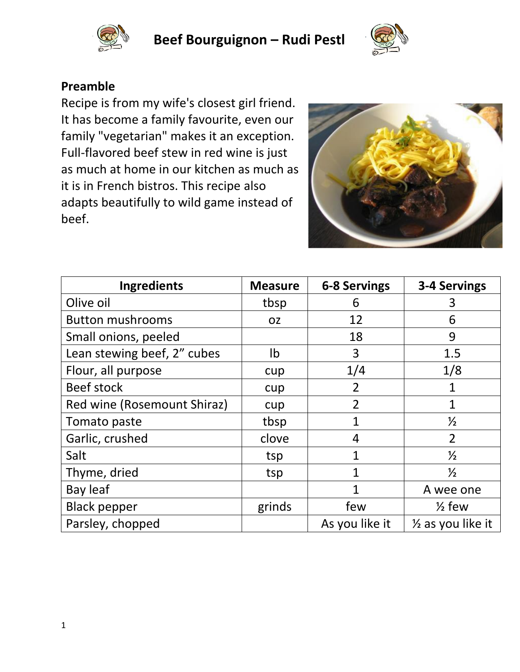

**Beef Bourguignon – Rudi Pestl**



## **Preamble**

Recipe is from my wife's closest girl friend. It has become a family favourite, even our family "vegetarian" makes it an exception. Full-flavored beef stew in red wine is just as much at home in our kitchen as much as it is in French bistros. This recipe also adapts beautifully to wild game instead of beef.



| <b>Ingredients</b>          | <b>Measure</b> | <b>6-8 Servings</b> | 3-4 Servings                 |
|-----------------------------|----------------|---------------------|------------------------------|
| Olive oil                   | tbsp           | 6                   | 3                            |
| <b>Button mushrooms</b>     | <b>OZ</b>      | 12                  | 6                            |
| Small onions, peeled        |                | 18                  | 9                            |
| Lean stewing beef, 2" cubes | Ib             | 3                   | 1.5                          |
| Flour, all purpose          | cup            | 1/4                 | 1/8                          |
| <b>Beef stock</b>           | cup            | $\overline{2}$      | 1                            |
| Red wine (Rosemount Shiraz) | cup            | $\overline{2}$      | $\mathbf 1$                  |
| Tomato paste                | tbsp           | 1                   | $\frac{1}{2}$                |
| Garlic, crushed             | clove          | 4                   | $\overline{2}$               |
| Salt                        | tsp            | 1                   | $\frac{1}{2}$                |
| Thyme, dried                | tsp            | 1                   | $\frac{1}{2}$                |
| Bay leaf                    |                | 1                   | A wee one                    |
| <b>Black pepper</b>         | grinds         | few                 | $\frac{1}{2}$ few            |
| Parsley, chopped            |                | As you like it      | $\frac{1}{2}$ as you like it |